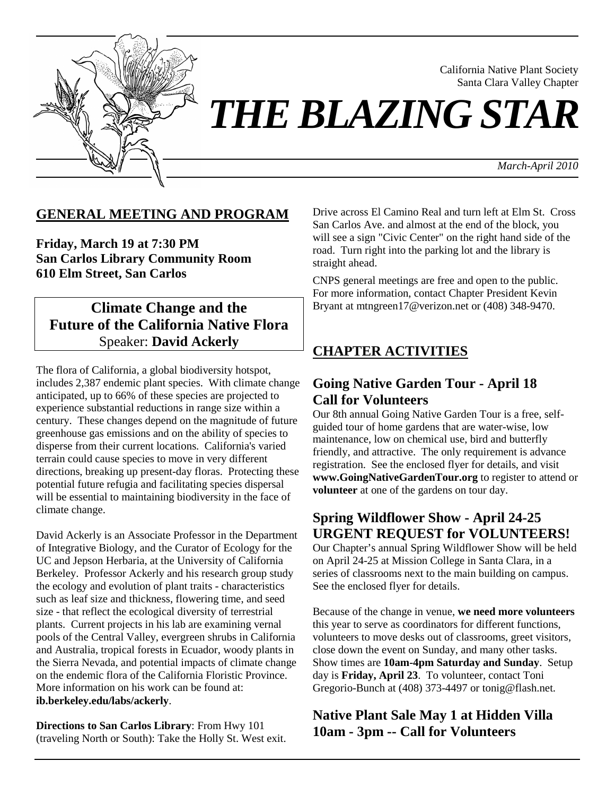

California Native Plant Society Santa Clara Valley Chapter

*THE BLAZING STAR* 

*March-April 2010*

### **GENERAL MEETING AND PROGRAM**

**Friday, March 19 at 7:30 PM San Carlos Library Community Room 610 Elm Street, San Carlos**

# **Climate Change and the Future of the California Native Flora** Speaker: **David Ackerly**

The flora of California, a global biodiversity hotspot, includes 2,387 endemic plant species. With climate change anticipated, up to 66% of these species are projected to experience substantial reductions in range size within a century. These changes depend on the magnitude of future greenhouse gas emissions and on the ability of species to disperse from their current locations. California's varied terrain could cause species to move in very different directions, breaking up present-day floras. Protecting these potential future refugia and facilitating species dispersal will be essential to maintaining biodiversity in the face of climate change.

David Ackerly is an Associate Professor in the Department of Integrative Biology, and the Curator of Ecology for the UC and Jepson Herbaria, at the University of California Berkeley. Professor Ackerly and his research group study the ecology and evolution of plant traits - characteristics such as leaf size and thickness, flowering time, and seed size - that reflect the ecological diversity of terrestrial plants. Current projects in his lab are examining vernal pools of the Central Valley, evergreen shrubs in California and Australia, tropical forests in Ecuador, woody plants in the Sierra Nevada, and potential impacts of climate change on the endemic flora of the California Floristic Province. More information on his work can be found at: **ib.berkeley.edu/labs/ackerly**.

**Directions to San Carlos Library**: From Hwy 101 (traveling North or South): Take the Holly St. West exit. Drive across El Camino Real and turn left at Elm St. Cross San Carlos Ave. and almost at the end of the block, you will see a sign "Civic Center" on the right hand side of the road. Turn right into the parking lot and the library is straight ahead.

CNPS general meetings are free and open to the public. For more information, contact Chapter President Kevin Bryant at mtngreen17@verizon.net or (408) 348-9470.

## **CHAPTER ACTIVITIES**

## **Going Native Garden Tour - April 18 Call for Volunteers**

Our 8th annual Going Native Garden Tour is a free, selfguided tour of home gardens that are water-wise, low maintenance, low on chemical use, bird and butterfly friendly, and attractive. The only requirement is advance registration. See the enclosed flyer for details, and visit **www.GoingNativeGardenTour.org** to register to attend or **volunteer** at one of the gardens on tour day.

# **Spring Wildflower Show - April 24-25 URGENT REQUEST for VOLUNTEERS!**

Our Chapter's annual Spring Wildflower Show will be held on April 24-25 at Mission College in Santa Clara, in a series of classrooms next to the main building on campus. See the enclosed flyer for details.

Because of the change in venue, **we need more volunteers** this year to serve as coordinators for different functions, volunteers to move desks out of classrooms, greet visitors, close down the event on Sunday, and many other tasks. Show times are **10am-4pm Saturday and Sunday**. Setup day is **Friday, April 23**. To volunteer, contact Toni Gregorio-Bunch at (408) 373-4497 or tonig@flash.net.

# **Native Plant Sale May 1 at Hidden Villa 10am - 3pm -- Call for Volunteers**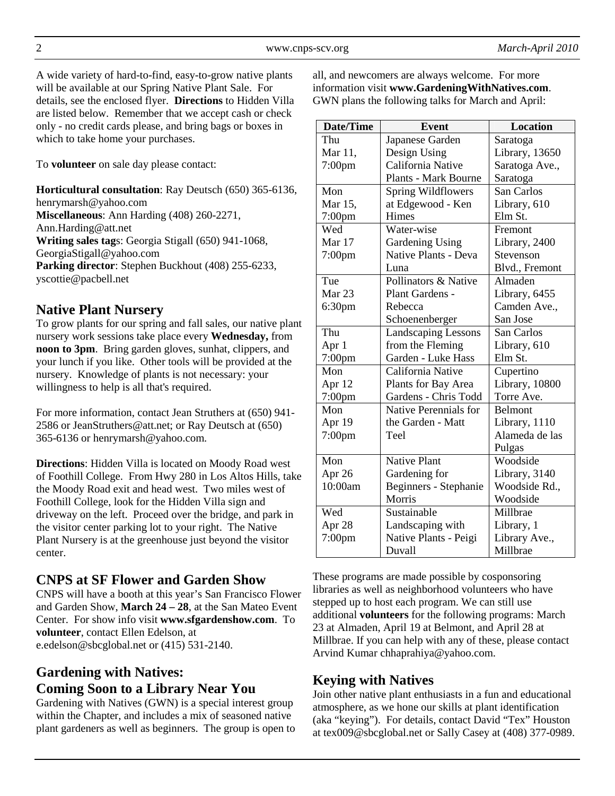A wide variety of hard-to-find, easy-to-grow native plants will be available at our Spring Native Plant Sale. For details, see the enclosed flyer. **Directions** to Hidden Villa are listed below. Remember that we accept cash or check only - no credit cards please, and bring bags or boxes in which to take home your purchases.

To **volunteer** on sale day please contact:

**Horticultural consultation**: Ray Deutsch (650) 365-6136, henrymarsh@yahoo.com **Miscellaneous**: Ann Harding (408) 260-2271, Ann.Harding@att.net **Writing sales tag**s: Georgia Stigall (650) 941-1068, GeorgiaStigall@yahoo.com **Parking director**: Stephen Buckhout (408) 255-6233, yscottie@pacbell.net

## **Native Plant Nursery**

To grow plants for our spring and fall sales, our native plant nursery work sessions take place every **Wednesday,** from **noon to 3pm**. Bring garden gloves, sunhat, clippers, and your lunch if you like. Other tools will be provided at the nursery. Knowledge of plants is not necessary: your willingness to help is all that's required.

For more information, contact Jean Struthers at (650) 941- 2586 or JeanStruthers@att.net; or Ray Deutsch at (650) 365-6136 or henrymarsh@yahoo.com.

**Directions**: Hidden Villa is located on Moody Road west of Foothill College. From Hwy 280 in Los Altos Hills, take the Moody Road exit and head west. Two miles west of Foothill College, look for the Hidden Villa sign and driveway on the left. Proceed over the bridge, and park in the visitor center parking lot to your right. The Native Plant Nursery is at the greenhouse just beyond the visitor center.

### **CNPS at SF Flower and Garden Show**

CNPS will have a booth at this year's San Francisco Flower and Garden Show, **March 24 – 28**, at the San Mateo Event Center. For show info visit **www.sfgardenshow.com**. To **volunteer**, contact Ellen Edelson, at e.edelson@sbcglobal.net or (415) 531-2140.

# **Gardening with Natives: Coming Soon to a Library Near You**

Gardening with Natives (GWN) is a special interest group within the Chapter, and includes a mix of seasoned native plant gardeners as well as beginners. The group is open to all, and newcomers are always welcome. For more information visit **www.GardeningWithNatives.com**. GWN plans the following talks for March and April:

| <b>Date/Time</b>   | <b>Event</b>                           | <b>Location</b> |
|--------------------|----------------------------------------|-----------------|
| Thu                | Japanese Garden                        | Saratoga        |
| Mar 11,            | Design Using                           | Library, 13650  |
| $7:00$ pm          | California Native                      | Saratoga Ave.,  |
|                    | <b>Plants - Mark Bourne</b>            | Saratoga        |
| Mon                | <b>Spring Wildflowers</b>              | San Carlos      |
| Mar 15,            | at Edgewood - Ken                      | Library, 610    |
| 7:00pm             | Himes                                  | Elm St.         |
| Wed                | Water-wise                             | Fremont         |
| Mar 17             | <b>Gardening Using</b>                 | Library, 2400   |
| $7:00$ pm          | Native Plants - Deva                   | Stevenson       |
|                    | Luna                                   | Blvd., Fremont  |
| Tue                | Pollinators & Native                   | Almaden         |
| Mar <sub>23</sub>  | Plant Gardens -                        | Library, 6455   |
| 6:30 <sub>pm</sub> | Rebecca                                | Camden Ave.,    |
|                    | Schoenenberger                         | San Jose        |
| Thu                | <b>Landscaping Lessons</b>             | San Carlos      |
| Apr 1              | from the Fleming                       | Library, 610    |
| $7:00$ pm          | Garden - Luke Hass                     | Elm St.         |
| Mon                | California Native                      | Cupertino       |
| Apr 12             | Library, 10800<br>Plants for Bay Area  |                 |
| $7:00$ pm          | Gardens - Chris Todd                   | Torre Ave.      |
| Mon                | <b>Native Perennials for</b>           | Belmont         |
| Apr 19             | the Garden - Matt                      | Library, 1110   |
| $7:00$ pm          | Teel                                   | Alameda de las  |
|                    |                                        | Pulgas          |
| Mon                | <b>Native Plant</b>                    | Woodside        |
| Apr 26             | Gardening for                          | Library, 3140   |
| 10:00am            | Woodside Rd.,<br>Beginners - Stephanie |                 |
|                    | Morris                                 | Woodside        |
| Wed                | Sustainable                            | Millbrae        |
| Apr 28             | Landscaping with<br>Library, 1         |                 |
| $7:00$ pm          | Native Plants - Peigi                  | Library Ave.,   |
|                    | Duvall                                 | Millbrae        |

These programs are made possible by cosponsoring libraries as well as neighborhood volunteers who have stepped up to host each program. We can still use additional **volunteers** for the following programs: March 23 at Almaden, April 19 at Belmont, and April 28 at Millbrae. If you can help with any of these, please contact Arvind Kumar chhaprahiya@yahoo.com.

## **Keying with Natives**

Join other native plant enthusiasts in a fun and educational atmosphere, as we hone our skills at plant identification (aka "keying"). For details, contact David "Tex" Houston at tex009@sbcglobal.net or Sally Casey at (408) 377-0989.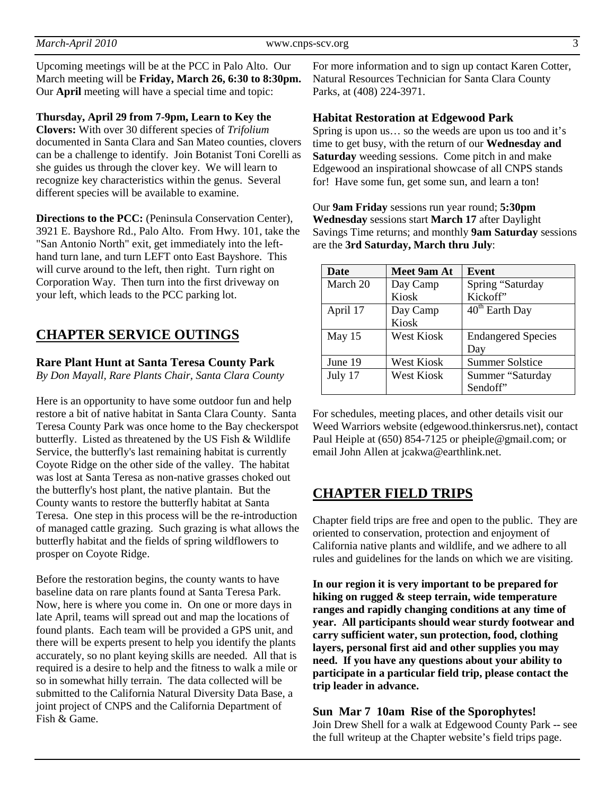Upcoming meetings will be at the PCC in Palo Alto. Our March meeting will be **Friday, March 26, 6:30 to 8:30pm.**  Our **April** meeting will have a special time and topic:

**Thursday, April 29 from 7-9pm, Learn to Key the Clovers:** With over 30 different species of *Trifolium* documented in Santa Clara and San Mateo counties, clovers can be a challenge to identify. Join Botanist Toni Corelli as she guides us through the clover key. We will learn to recognize key characteristics within the genus. Several different species will be available to examine.

**Directions to the PCC:** (Peninsula Conservation Center), 3921 E. Bayshore Rd., Palo Alto. From Hwy. 101, take the "San Antonio North" exit, get immediately into the lefthand turn lane, and turn LEFT onto East Bayshore. This will curve around to the left, then right. Turn right on Corporation Way. Then turn into the first driveway on your left, which leads to the PCC parking lot.

# **CHAPTER SERVICE OUTINGS**

### **Rare Plant Hunt at Santa Teresa County Park**

*By Don Mayall, Rare Plants Chair, Santa Clara County* 

Here is an opportunity to have some outdoor fun and help restore a bit of native habitat in Santa Clara County. Santa Teresa County Park was once home to the Bay checkerspot butterfly. Listed as threatened by the US Fish & Wildlife Service, the butterfly's last remaining habitat is currently Coyote Ridge on the other side of the valley. The habitat was lost at Santa Teresa as non-native grasses choked out the butterfly's host plant, the native plantain. But the County wants to restore the butterfly habitat at Santa Teresa. One step in this process will be the re-introduction of managed cattle grazing. Such grazing is what allows the butterfly habitat and the fields of spring wildflowers to prosper on Coyote Ridge.

Before the restoration begins, the county wants to have baseline data on rare plants found at Santa Teresa Park. Now, here is where you come in. On one or more days in late April, teams will spread out and map the locations of found plants. Each team will be provided a GPS unit, and there will be experts present to help you identify the plants accurately, so no plant keying skills are needed. All that is required is a desire to help and the fitness to walk a mile or so in somewhat hilly terrain. The data collected will be submitted to the California Natural Diversity Data Base, a joint project of CNPS and the California Department of Fish & Game.

For more information and to sign up contact Karen Cotter, Natural Resources Technician for Santa Clara County Parks, at (408) 224-3971.

#### **Habitat Restoration at Edgewood Park**

Spring is upon us… so the weeds are upon us too and it's time to get busy, with the return of our **Wednesday and Saturday** weeding sessions. Come pitch in and make Edgewood an inspirational showcase of all CNPS stands for! Have some fun, get some sun, and learn a ton!

Our **9am Friday** sessions run year round; **5:30pm Wednesday** sessions start **March 17** after Daylight Savings Time returns; and monthly **9am Saturday** sessions are the **3rd Saturday, March thru July**:

| <b>Date</b> | Meet 9am At | Event                          |
|-------------|-------------|--------------------------------|
| March 20    | Day Camp    | Spring "Saturday               |
|             | Kiosk       | Kickoff"                       |
| April 17    | Day Camp    | $\overline{40}^{th}$ Earth Day |
|             | Kiosk       |                                |
| May 15      | West Kiosk  | <b>Endangered Species</b>      |
|             |             | Day                            |
| June 19     | West Kiosk  | <b>Summer Solstice</b>         |
| July 17     | West Kiosk  | Summer "Saturday               |
|             |             | Sendoff"                       |

For schedules, meeting places, and other details visit our Weed Warriors website (edgewood.thinkersrus.net), contact Paul Heiple at (650) 854-7125 or pheiple@gmail.com; or email John Allen at jcakwa@earthlink.net.

### **CHAPTER FIELD TRIPS**

Chapter field trips are free and open to the public. They are oriented to conservation, protection and enjoyment of California native plants and wildlife, and we adhere to all rules and guidelines for the lands on which we are visiting.

**In our region it is very important to be prepared for hiking on rugged & steep terrain, wide temperature ranges and rapidly changing conditions at any time of year. All participants should wear sturdy footwear and carry sufficient water, sun protection, food, clothing layers, personal first aid and other supplies you may need. If you have any questions about your ability to participate in a particular field trip, please contact the trip leader in advance.** 

**Sun Mar 7 10am Rise of the Sporophytes!**  Join Drew Shell for a walk at Edgewood County Park -- see the full writeup at the Chapter website's field trips page.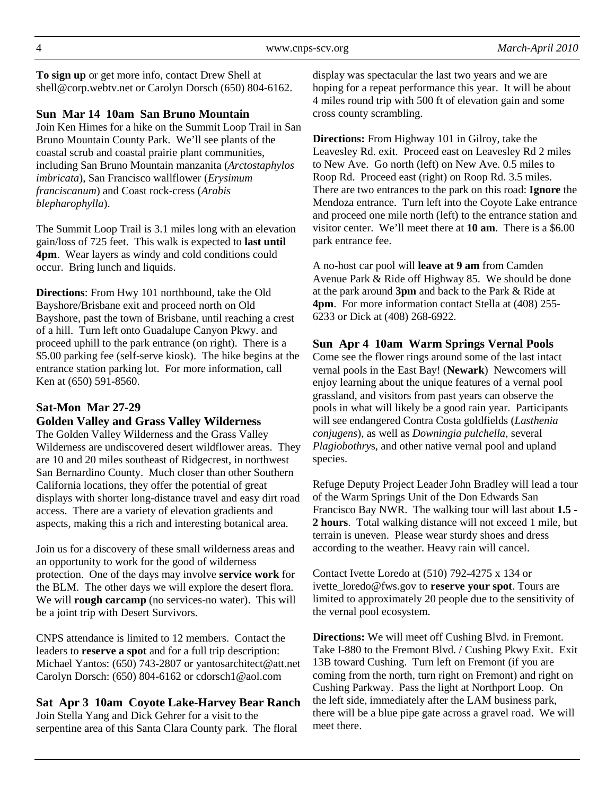**To sign up** or get more info, contact Drew Shell at shell@corp.webtv.net or Carolyn Dorsch (650) 804-6162.

### **Sun Mar 14 10am San Bruno Mountain**

Join Ken Himes for a hike on the Summit Loop Trail in San Bruno Mountain County Park. We'll see plants of the coastal scrub and coastal prairie plant communities, including San Bruno Mountain manzanita (*Arctostaphylos imbricata*), San Francisco wallflower (*Erysimum franciscanum*) and Coast rock-cress (*Arabis blepharophylla*).

The Summit Loop Trail is 3.1 miles long with an elevation gain/loss of 725 feet. This walk is expected to **last until 4pm**. Wear layers as windy and cold conditions could occur. Bring lunch and liquids.

**Directions**: From Hwy 101 northbound, take the Old Bayshore/Brisbane exit and proceed north on Old Bayshore, past the town of Brisbane, until reaching a crest of a hill. Turn left onto Guadalupe Canyon Pkwy. and proceed uphill to the park entrance (on right). There is a \$5.00 parking fee (self-serve kiosk). The hike begins at the entrance station parking lot. For more information, call Ken at (650) 591-8560.

### **Sat-Mon Mar 27-29**

#### **Golden Valley and Grass Valley Wilderness**

The Golden Valley Wilderness and the Grass Valley Wilderness are undiscovered desert wildflower areas. They are 10 and 20 miles southeast of Ridgecrest, in northwest San Bernardino County. Much closer than other Southern California locations, they offer the potential of great displays with shorter long-distance travel and easy dirt road access. There are a variety of elevation gradients and aspects, making this a rich and interesting botanical area.

Join us for a discovery of these small wilderness areas and an opportunity to work for the good of wilderness protection. One of the days may involve **service work** for the BLM. The other days we will explore the desert flora. We will **rough carcamp** (no services-no water). This will be a joint trip with Desert Survivors.

CNPS attendance is limited to 12 members. Contact the leaders to **reserve a spot** and for a full trip description: Michael Yantos: (650) 743-2807 or yantosarchitect@att.net Carolyn Dorsch: (650) 804-6162 or cdorsch1@aol.com

**Sat Apr 3 10am Coyote Lake-Harvey Bear Ranch**  Join Stella Yang and Dick Gehrer for a visit to the serpentine area of this Santa Clara County park. The floral

display was spectacular the last two years and we are hoping for a repeat performance this year. It will be about 4 miles round trip with 500 ft of elevation gain and some cross county scrambling.

**Directions:** From Highway 101 in Gilroy, take the Leavesley Rd. exit. Proceed east on Leavesley Rd 2 miles to New Ave. Go north (left) on New Ave. 0.5 miles to Roop Rd. Proceed east (right) on Roop Rd. 3.5 miles. There are two entrances to the park on this road: **Ignore** the Mendoza entrance. Turn left into the Coyote Lake entrance and proceed one mile north (left) to the entrance station and visitor center. We'll meet there at **10 am**. There is a \$6.00 park entrance fee.

A no-host car pool will **leave at 9 am** from Camden Avenue Park & Ride off Highway 85. We should be done at the park around **3pm** and back to the Park & Ride at **4pm**. For more information contact Stella at (408) 255- 6233 or Dick at (408) 268-6922.

#### **Sun Apr 4 10am Warm Springs Vernal Pools**

Come see the flower rings around some of the last intact vernal pools in the East Bay! (**Newark**) Newcomers will enjoy learning about the unique features of a vernal pool grassland, and visitors from past years can observe the pools in what will likely be a good rain year. Participants will see endangered Contra Costa goldfields (*Lasthenia conjugens*), as well as *Downingia pulchella*, several *Plagiobothry*s, and other native vernal pool and upland species.

Refuge Deputy Project Leader John Bradley will lead a tour of the Warm Springs Unit of the Don Edwards San Francisco Bay NWR. The walking tour will last about **1.5 - 2 hours**. Total walking distance will not exceed 1 mile, but terrain is uneven. Please wear sturdy shoes and dress according to the weather. Heavy rain will cancel.

Contact Ivette Loredo at (510) 792-4275 x 134 or ivette\_loredo@fws.gov to **reserve your spot**. Tours are limited to approximately 20 people due to the sensitivity of the vernal pool ecosystem.

**Directions:** We will meet off Cushing Blvd. in Fremont. Take I-880 to the Fremont Blvd. / Cushing Pkwy Exit. Exit 13B toward Cushing. Turn left on Fremont (if you are coming from the north, turn right on Fremont) and right on Cushing Parkway. Pass the light at Northport Loop. On the left side, immediately after the LAM business park, there will be a blue pipe gate across a gravel road. We will meet there.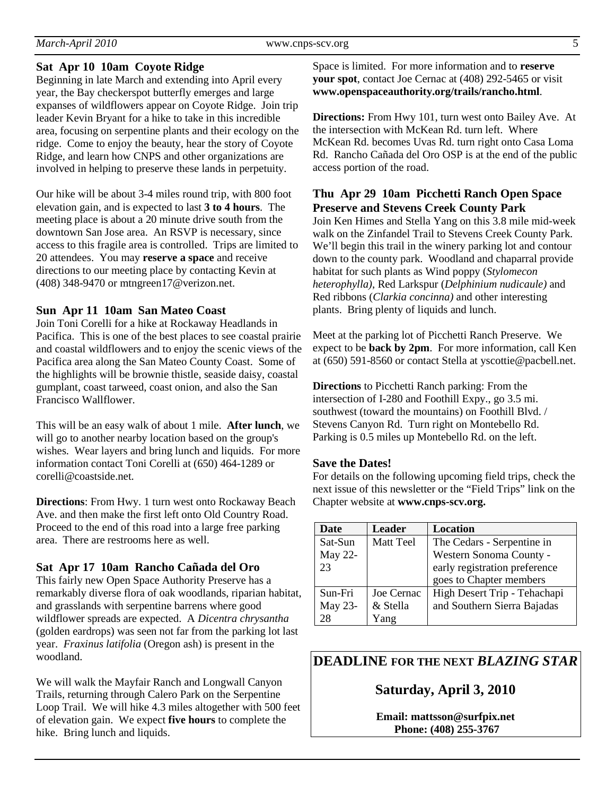#### **Sat Apr 10 10am Coyote Ridge**

Beginning in late March and extending into April every year, the Bay checkerspot butterfly emerges and large expanses of wildflowers appear on Coyote Ridge. Join trip leader Kevin Bryant for a hike to take in this incredible area, focusing on serpentine plants and their ecology on the ridge. Come to enjoy the beauty, hear the story of Coyote Ridge, and learn how CNPS and other organizations are involved in helping to preserve these lands in perpetuity.

Our hike will be about 3-4 miles round trip, with 800 foot elevation gain, and is expected to last **3 to 4 hours**. The meeting place is about a 20 minute drive south from the downtown San Jose area. An RSVP is necessary, since access to this fragile area is controlled. Trips are limited to 20 attendees. You may **reserve a space** and receive directions to our meeting place by contacting Kevin at (408) 348-9470 or mtngreen17@verizon.net.

#### **Sun Apr 11 10am San Mateo Coast**

Join Toni Corelli for a hike at Rockaway Headlands in Pacifica. This is one of the best places to see coastal prairie and coastal wildflowers and to enjoy the scenic views of the Pacifica area along the San Mateo County Coast. Some of the highlights will be brownie thistle, seaside daisy, coastal gumplant, coast tarweed, coast onion, and also the San Francisco Wallflower.

This will be an easy walk of about 1 mile. **After lunch**, we will go to another nearby location based on the group's wishes. Wear layers and bring lunch and liquids. For more information contact Toni Corelli at (650) 464-1289 or corelli@coastside.net.

**Directions**: From Hwy. 1 turn west onto Rockaway Beach Ave. and then make the first left onto Old Country Road. Proceed to the end of this road into a large free parking area. There are restrooms here as well.

### **Sat Apr 17 10am Rancho Cañada del Oro**

This fairly new Open Space Authority Preserve has a remarkably diverse flora of oak woodlands, riparian habitat, and grasslands with serpentine barrens where good wildflower spreads are expected. A *Dicentra chrysantha* (golden eardrops) was seen not far from the parking lot last year. *Fraxinus latifolia* (Oregon ash) is present in the woodland.

We will walk the Mayfair Ranch and Longwall Canyon Trails, returning through Calero Park on the Serpentine Loop Trail. We will hike 4.3 miles altogether with 500 feet of elevation gain. We expect **five hours** to complete the hike. Bring lunch and liquids.

Space is limited. For more information and to **reserve your spot**, contact Joe Cernac at (408) 292-5465 or visit **www.openspaceauthority.org/trails/rancho.html**.

**Directions:** From Hwy 101, turn west onto Bailey Ave. At the intersection with McKean Rd. turn left. Where McKean Rd. becomes Uvas Rd. turn right onto Casa Loma Rd. Rancho Cañada del Oro OSP is at the end of the public access portion of the road.

### **Thu Apr 29 10am Picchetti Ranch Open Space Preserve and Stevens Creek County Park**

Join Ken Himes and Stella Yang on this 3.8 mile mid-week walk on the Zinfandel Trail to Stevens Creek County Park. We'll begin this trail in the winery parking lot and contour down to the county park. Woodland and chaparral provide habitat for such plants as Wind poppy (*Stylomecon heterophylla)*, Red Larkspur (*Delphinium nudicaule)* and Red ribbons (*Clarkia concinna)* and other interesting plants. Bring plenty of liquids and lunch.

Meet at the parking lot of Picchetti Ranch Preserve. We expect to be **back by 2pm**. For more information, call Ken at (650) 591-8560 or contact Stella at yscottie@pacbell.net.

**Directions** to Picchetti Ranch parking: From the intersection of I-280 and Foothill Expy., go 3.5 mi. southwest (toward the mountains) on Foothill Blvd. / Stevens Canyon Rd.Turn right on Montebello Rd. Parking is 0.5 miles up Montebello Rd. on the left.

#### **Save the Dates!**

For details on the following upcoming field trips, check the next issue of this newsletter or the "Field Trips" link on the Chapter website at **www.cnps-scv.org.**

| <b>Date</b> | <b>Leader</b>    | Location                      |
|-------------|------------------|-------------------------------|
| Sat-Sun     | <b>Matt Teel</b> | The Cedars - Serpentine in    |
| May 22-     |                  | Western Sonoma County -       |
| 23          |                  | early registration preference |
|             |                  | goes to Chapter members       |
| Sun-Fri     | Joe Cernac       | High Desert Trip - Tehachapi  |
| May 23-     | & Stella         | and Southern Sierra Bajadas   |
| 28          | Yang             |                               |

### **DEADLINE FOR THE NEXT** *BLAZING STAR*

## **Saturday, April 3, 2010**

**Email: mattsson@surfpix.net Phone: (408) 255-3767**